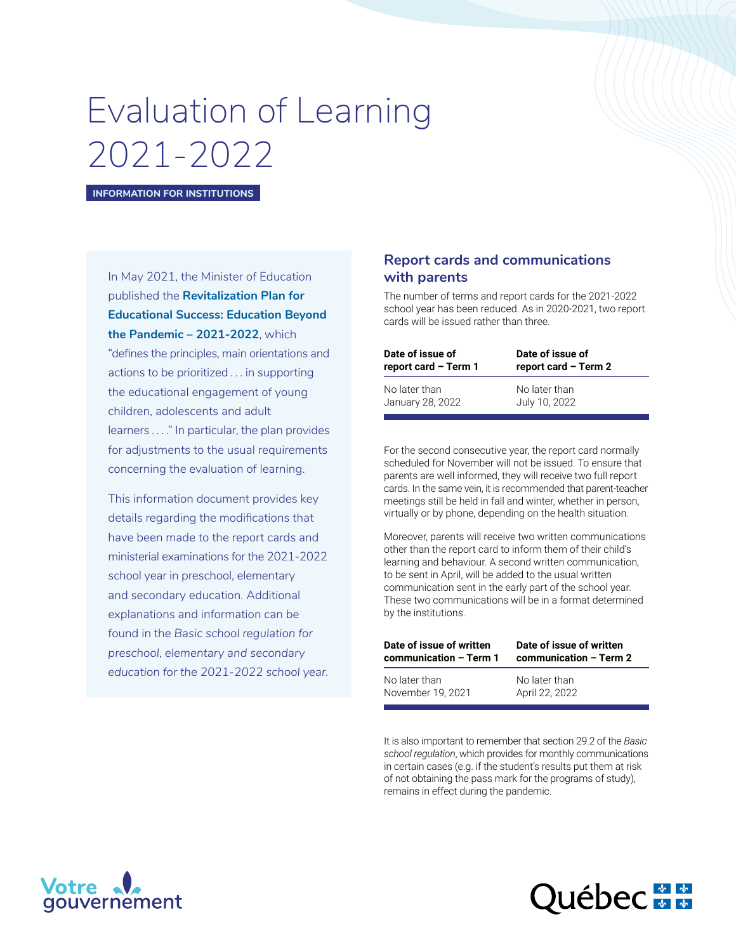# Evaluation of Learning 2021-2022

**INFORMATION FOR INSTITUTIONS**

In May 2021, the Minister of Education published the **[Revitalization Plan for](https://cdn-contenu.quebec.ca/cdn-contenu/adm/min/education/publications-adm/education/Plan-relance-reussite-educative-AN.pdf?1622649574)  [Educational Success: Education Beyond](https://cdn-contenu.quebec.ca/cdn-contenu/adm/min/education/publications-adm/education/Plan-relance-reussite-educative-AN.pdf?1622649574)  [the Pandemic – 2021-2022](https://cdn-contenu.quebec.ca/cdn-contenu/adm/min/education/publications-adm/education/Plan-relance-reussite-educative-AN.pdf?1622649574)**, which "defines the principles, main orientations and actions to be prioritized . . . in supporting the educational engagement of young children, adolescents and adult learners . . . ." In particular, the plan provides for adjustments to the usual requirements concerning the evaluation of learning.

This information document provides key details regarding the modifications that have been made to the report cards and ministerial examinations for the 2021-2022 school year in preschool, elementary and secondary education. Additional explanations and information can be found in the *Basic school regulation for preschool, elementary and secondary education for the 2021-2022 school year.*

# **Report cards and communications with parents**

The number of terms and report cards for the 2021-2022 school year has been reduced. As in 2020-2021, two report cards will be issued rather than three.

| Date of issue of     | Date of issue of     |
|----------------------|----------------------|
| report card - Term 1 | report card - Term 2 |
| No later than        | No later than        |
| January 28, 2022     | July 10, 2022        |

For the second consecutive year, the report card normally scheduled for November will not be issued. To ensure that parents are well informed, they will receive two full report cards. In the same vein, it is recommended that parent-teacher meetings still be held in fall and winter, whether in person, virtually or by phone, depending on the health situation.

Moreover, parents will receive two written communications other than the report card to inform them of their child's learning and behaviour. A second written communication, to be sent in April, will be added to the usual written communication sent in the early part of the school year. These two communications will be in a format determined by the institutions.

| Date of issue of written | Date of issue of written |  |  |
|--------------------------|--------------------------|--|--|
| communication – Term 1   | communication - Term 2   |  |  |
| No later than            | No later than            |  |  |
| November 19, 2021        | April 22, 2022           |  |  |

It is also important to remember that section 29.2 of the *Basic school regulation*, which provides for monthly communications in certain cases (e.g. if the student's results put them at risk of not obtaining the pass mark for the programs of study), remains in effect during the pandemic.



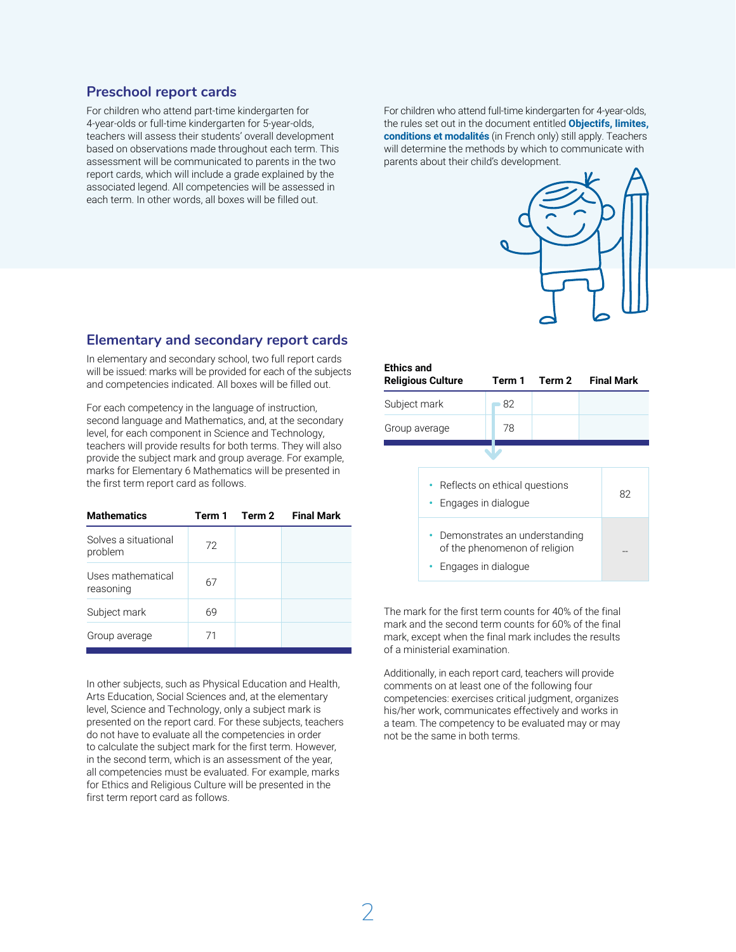# **Preschool report cards**

For children who attend part-time kindergarten for 4-year-olds or full-time kindergarten for 5-year-olds, teachers will assess their students' overall development based on observations made throughout each term. This assessment will be communicated to parents in the two report cards, which will include a grade explained by the associated legend. All competencies will be assessed in each term. In other words, all boxes will be filled out.

For children who attend full-time kindergarten for 4-year-olds, the rules set out in the document entitled **[Objectifs, limites,](http://www.education.gouv.qc.ca/references/tx-solrtyperecherchepublicationtx-solrpublicationnouveaute/resultats-de-la-recherche/detail/article/maternelle-4-ans-objectifs-limites-conditions-et-modalites/?a=a&cHash=a14dbb12aca91f09aa9257851fcdda4e)  [conditions et modalités](http://www.education.gouv.qc.ca/references/tx-solrtyperecherchepublicationtx-solrpublicationnouveaute/resultats-de-la-recherche/detail/article/maternelle-4-ans-objectifs-limites-conditions-et-modalites/?a=a&cHash=a14dbb12aca91f09aa9257851fcdda4e)** (in French only) still apply. Teachers will determine the methods by which to communicate with parents about their child's development.



# **Elementary and secondary report cards**

In elementary and secondary school, two full report cards will be issued: marks will be provided for each of the subjects and competencies indicated. All boxes will be filled out.

For each competency in the language of instruction, second language and Mathematics, and, at the secondary level, for each component in Science and Technology, teachers will provide results for both terms. They will also provide the subject mark and group average. For example, marks for Elementary 6 Mathematics will be presented in the first term report card as follows.

| <b>Mathematics</b>              | Term 1 | Term 2 Final Mark |
|---------------------------------|--------|-------------------|
| Solves a situational<br>problem | 72     |                   |
| Uses mathematical<br>reasoning  | 67     |                   |
| Subject mark                    | 69     |                   |
| Group average                   | 71     |                   |

In other subjects, such as Physical Education and Health, Arts Education, Social Sciences and, at the elementary level, Science and Technology, only a subject mark is presented on the report card. For these subjects, teachers do not have to evaluate all the competencies in order to calculate the subject mark for the first term. However, in the second term, which is an assessment of the year, all competencies must be evaluated. For example, marks for Ethics and Religious Culture will be presented in the first term report card as follows.

| <b>Ethics and</b>                                                                                                                                           | <b>Religious Culture</b> | Term 1 | Term 2 | <b>Final Mark</b> |
|-------------------------------------------------------------------------------------------------------------------------------------------------------------|--------------------------|--------|--------|-------------------|
| Subject mark                                                                                                                                                |                          | 82     |        |                   |
| Group average                                                                                                                                               |                          | 78     |        |                   |
| • Reflects on ethical questions<br>Engages in dialogue<br>٠<br>• Demonstrates an understanding<br>of the phenomenon of religion<br>Engages in dialogue<br>٠ |                          |        | 82     |                   |

The mark for the first term counts for 40% of the final mark and the second term counts for 60% of the final mark, except when the final mark includes the results of a ministerial examination.

Additionally, in each report card, teachers will provide comments on at least one of the following four competencies: exercises critical judgment, organizes his/her work, communicates effectively and works in a team. The competency to be evaluated may or may not be the same in both terms.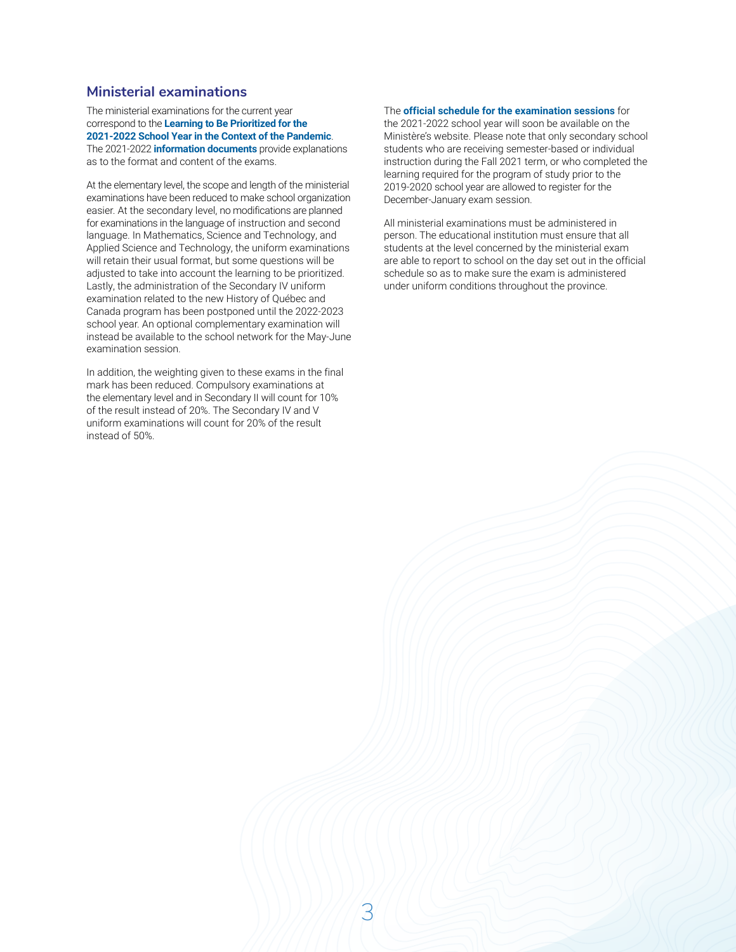# **Ministerial examinations**

The ministerial examinations for the current year correspond to the **[Learning to Be Prioritized for](http://www.education.gouv.qc.ca/en/teachers/learning-to-be-prioritized/) the [2021‑2022 School Year in the Context of the Pandemic](http://www.education.gouv.qc.ca/en/teachers/learning-to-be-prioritized/)**. The 2021-2022 **[information document](http://www.education.gouv.qc.ca/enseignants/references/examens-et-epreuves/documents-dinformation-sur-les-epreuves/)s** provide explanations as to the format and content of the exams.

At the elementary level, the scope and length of the ministerial examinations have been reduced to make school organization easier. At the secondary level, no modifications are planned for examinations in the language of instruction and second language. In Mathematics, Science and Technology, and Applied Science and Technology, the uniform examinations will retain their usual format, but some questions will be adjusted to take into account the learning to be prioritized. Lastly, the administration of the Secondary IV uniform examination related to the new History of Québec and Canada program has been postponed until the 2022-2023 school year. An optional complementary examination will instead be available to the school network for the May-June examination session.

In addition, the weighting given to these exams in the final mark has been reduced. Compulsory examinations at the elementary level and in Secondary II will count for 10% of the result instead of 20%. The Secondary IV and V uniform examinations will count for 20% of the result instead of 50%.

#### The **[official schedule for the examination sessions](http://www.education.gouv.qc.ca/en/teachers/references/examens-et-epreuves/schedule-for-the-examination-session-and-retake-of-examinations/)** for

the 2021-2022 school year will soon be available on the Ministère's website. Please note that only secondary school students who are receiving semester-based or individual instruction during the Fall 2021 term, or who completed the learning required for the program of study prior to the 2019-2020 school year are allowed to register for the December-January exam session.

All ministerial examinations must be administered in person. The educational institution must ensure that all students at the level concerned by the ministerial exam are able to report to school on the day set out in the official schedule so as to make sure the exam is administered under uniform conditions throughout the province.